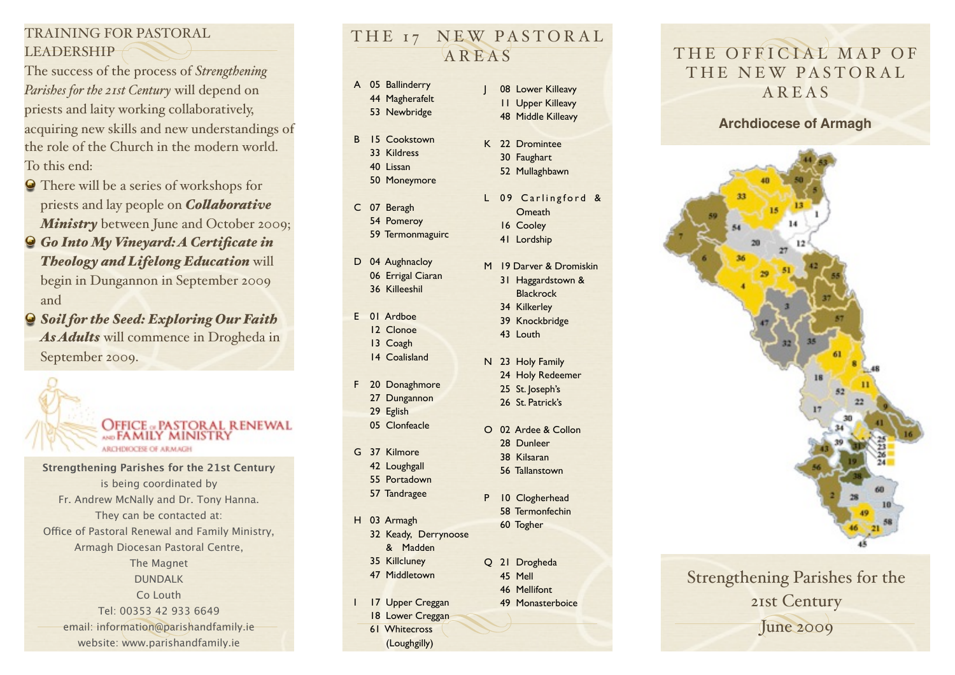### TRAINING FOR PASTORAL LEADERSHIP

The success of the process of *Strengthening Parishes for the 21st Century* will depend on priests and laity working collaboratively, acquiring new skills and new understandings of the role of the Church in the modern world. To this end:

- There will be a series of workshops for priests and lay people on *Colaborative*  **Ministry** between June and October 2009;
- *Go Into My Vineyard: A Certificate in Theology and Lifelong Education* will begin in Dungannon in September 2009 and
- *Soil for the Seed: Exploring Our Faith As Adults* will commence in Drogheda in September 2009.



**Strengthening Parishes for the 21st Century** is being coordinated by Fr. Andrew McNally and Dr. Tony Hanna. They can be contacted at: Office of Pastoral Renewal and Family Ministry, Armagh Diocesan Pastoral Centre, The Magnet DUNDALK Co Louth Tel: 00353 42 933 6649 email: [information@parishandfamily.ie](mailto:information@parishandfamily.e) website: [www.parishandfamily.ie](http://www.parishandfamily.ie)

## THE 17 NEW PASTORAL AREAS

- A 05 Ballinderry 44 Magherafelt
	- 53 Newbridge
- B 15 Cookstown 33 Kildress 40 Lissan 50 Moneymore
- C 07 Beragh 54 Pomeroy 59 Termonmaguirc
- D 04 Aughnacloy 06 Errigal Ciaran 36 Killeeshil
- E 01 Ardboe 12 Clonoe 13 Coagh 14 Coalisland
- F 20 Donaghmore 27 Dungannon
	- 29 Eglish 05 Clonfeacle
- G 37 Kilmore 42 Loughgall 55 Portadown
	- 57 Tandragee
- H 03 Armagh 32 Keady, Derrynoose
	- & Madden 35 Killcluney
	- 47 Middletown
- 46 Mellifont
- 17 Upper Creggan
- 18 Lower Creggan 61 Whitecross (Loughgilly)
- 08 Lower Killeavy 11 Upper Killeavy 48 Middle Killeavy
- K 22 Dromintee 30 Faughart 52 Mullaghbawn
- L 09 Carlingford & Omeath 16 Cooley
	- 41 Lordship
- M 19 Darver & Dromiskin 31 Haggardstown & Blackrock
	- 34 Kilkerley
	- 39 Knockbridge 43 Louth
- N 23 Holy Family 24 Holy Redeemer 25 St. Joseph's 26 St. Patrick's
- O 02 Ardee & Collon 28 Dunleer
- 38 Kilsaran 56 Tallanstown
- P 10 Clogherhead 58 Termonfechin
	- 60 Togher
- 
- Q 21 Drogheda
	- 45 Mell
		- 49 Monasterboice
	-

# THE OFFICIAL MAP OF THE NEW PASTORAL AREAS

**Archdiocese of Armagh**



Strengthening Parishes for the 21st Century June 2009